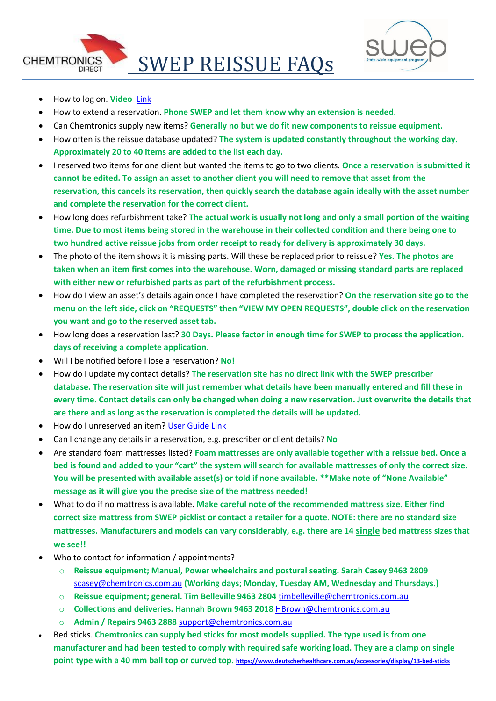



- How to log on. **Video** [Link](https://youtu.be/crGf1bgSeQE)
- How to extend a reservation. **Phone SWEP and let them know why an extension is needed.**
- Can Chemtronics supply new items? **Generally no but we do fit new components to reissue equipment.**
- How often is the reissue database updated? **The system is updated constantly throughout the working day. Approximately 20 to 40 items are added to the list each day.**
- I reserved two items for one client but wanted the items to go to two clients. **Once a reservation is submitted it cannot be edited. To assign an asset to another client you will need to remove that asset from the reservation, this cancels its reservation, then quickly search the database again ideally with the asset number and complete the reservation for the correct client.**
- How long does refurbishment take? **The actual work is usually not long and only a small portion of the waiting time. Due to most items being stored in the warehouse in their collected condition and there being one to two hundred active reissue jobs from order receipt to ready for delivery is approximately 30 days.**
- The photo of the item shows it is missing parts. Will these be replaced prior to reissue? **Yes. The photos are taken when an item first comes into the warehouse. Worn, damaged or missing standard parts are replaced with either new or refurbished parts as part of the refurbishment process.**
- How do I view an asset's details again once I have completed the reservation? **On the reservation site go to the menu on the left side, click on "REQUESTS" then "VIEW MY OPEN REQUESTS", double click on the reservation you want and go to the reserved asset tab.**
- How long does a reservation last? **30 Days. Please factor in enough time for SWEP to process the application. days of receiving a complete application.**
- Will I be notified before I lose a reservation? **No!**
- How do I update my contact details? **The reservation site has no direct link with the SWEP prescriber database. The reservation site will just remember what details have been manually entered and fill these in every time. Contact details can only be changed when doing a new reservation. Just overwrite the details that are there and as long as the reservation is completed the details will be updated.**
- How do I unreserved an item? [User Guide Link](ftp://SWEP@144.140.127.162/Cancel or Modify a Reservation.pdf)
- Can I change any details in a reservation, e.g. prescriber or client details? **No**
- Are standard foam mattresses listed? **Foam mattresses are only available together with a reissue bed. Once a bed is found and added to your "cart" the system will search for available mattresses of only the correct size. You will be presented with available asset(s) or told if none available. \*\*Make note of "None Available" message as it will give you the precise size of the mattress needed!**
- What to do if no mattress is available. **Make careful note of the recommended mattress size. Either find correct size mattress from SWEP picklist or contact a retailer for a quote. NOTE: there are no standard size mattresses. Manufacturers and models can vary considerably, e.g. there are 14 single bed mattress sizes that we see!!**
- Who to contact for information / appointments?
	- o **Reissue equipment; Manual, Power wheelchairs and postural seating. Sarah Casey 9463 2809**  <scasey@chemtronics.com.au> **(Working days; Monday, Tuesday AM, Wednesday and Thursdays.)**
	- o **Reissue equipment; general. Tim Belleville 9463 2804** <timbelleville@chemtronics.com.au>
	- o **Collections and deliveries. Hannah Brown 9463 2018** <HBrown@chemtronics.com.au>
	- o **Admin / Repairs 9463 2888** <support@chemtronics.com.au>
- Bed sticks. **Chemtronics can supply bed sticks for most models supplied. The type used is from one manufacturer and had been tested to comply with required safe working load. They are a clamp on single point type with a 40 mm ball top or curved top. <https://www.deutscherhealthcare.com.au/accessories/display/13-bed-sticks>**